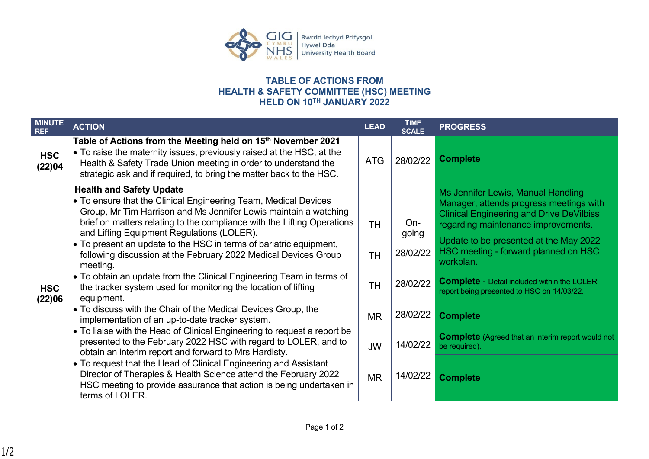

## **TABLE OF ACTIONS FROM HEALTH & SAFETY COMMITTEE (HSC) MEETING HELD ON 10TH JANUARY 2022**

| <b>MINUTE</b><br><b>REF</b> | <b>ACTION</b>                                                                                                                                                                                                                                                                                                                                                                                                                                        | <b>LEAD</b> | <b>TIME</b><br><b>SCALE</b> | <b>PROGRESS</b>                                                                                                                                                         |
|-----------------------------|------------------------------------------------------------------------------------------------------------------------------------------------------------------------------------------------------------------------------------------------------------------------------------------------------------------------------------------------------------------------------------------------------------------------------------------------------|-------------|-----------------------------|-------------------------------------------------------------------------------------------------------------------------------------------------------------------------|
| <b>HSC</b><br>(22)04        | Table of Actions from the Meeting held on 15 <sup>th</sup> November 2021<br>• To raise the maternity issues, previously raised at the HSC, at the<br>Health & Safety Trade Union meeting in order to understand the<br>strategic ask and if required, to bring the matter back to the HSC.                                                                                                                                                           | <b>ATG</b>  | 28/02/22                    | <b>Complete</b>                                                                                                                                                         |
| <b>HSC</b><br>(22)06        | <b>Health and Safety Update</b><br>• To ensure that the Clinical Engineering Team, Medical Devices<br>Group, Mr Tim Harrison and Ms Jennifer Lewis maintain a watching<br>brief on matters relating to the compliance with the Lifting Operations<br>and Lifting Equipment Regulations (LOLER).<br>• To present an update to the HSC in terms of bariatric equipment,<br>following discussion at the February 2022 Medical Devices Group<br>meeting. | <b>TH</b>   | On-                         | Ms Jennifer Lewis, Manual Handling<br>Manager, attends progress meetings with<br><b>Clinical Engineering and Drive DeVilbiss</b><br>regarding maintenance improvements. |
|                             |                                                                                                                                                                                                                                                                                                                                                                                                                                                      | <b>TH</b>   | going<br>28/02/22           | Update to be presented at the May 2022<br>HSC meeting - forward planned on HSC<br>workplan.                                                                             |
|                             | • To obtain an update from the Clinical Engineering Team in terms of<br>the tracker system used for monitoring the location of lifting<br>equipment.                                                                                                                                                                                                                                                                                                 | <b>TH</b>   | 28/02/22                    | <b>Complete - Detail included within the LOLER</b><br>report being presented to HSC on 14/03/22.                                                                        |
|                             | • To discuss with the Chair of the Medical Devices Group, the<br>implementation of an up-to-date tracker system.                                                                                                                                                                                                                                                                                                                                     | <b>MR</b>   | 28/02/22                    | <b>Complete</b>                                                                                                                                                         |
|                             | • To liaise with the Head of Clinical Engineering to request a report be<br>presented to the February 2022 HSC with regard to LOLER, and to<br>obtain an interim report and forward to Mrs Hardisty.                                                                                                                                                                                                                                                 | <b>JW</b>   | 14/02/22                    | <b>Complete</b> (Agreed that an interim report would not<br>be required).                                                                                               |
|                             | • To request that the Head of Clinical Engineering and Assistant<br>Director of Therapies & Health Science attend the February 2022<br>HSC meeting to provide assurance that action is being undertaken in<br>terms of LOLER.                                                                                                                                                                                                                        | <b>MR</b>   | 14/02/22                    | <b>Complete</b>                                                                                                                                                         |